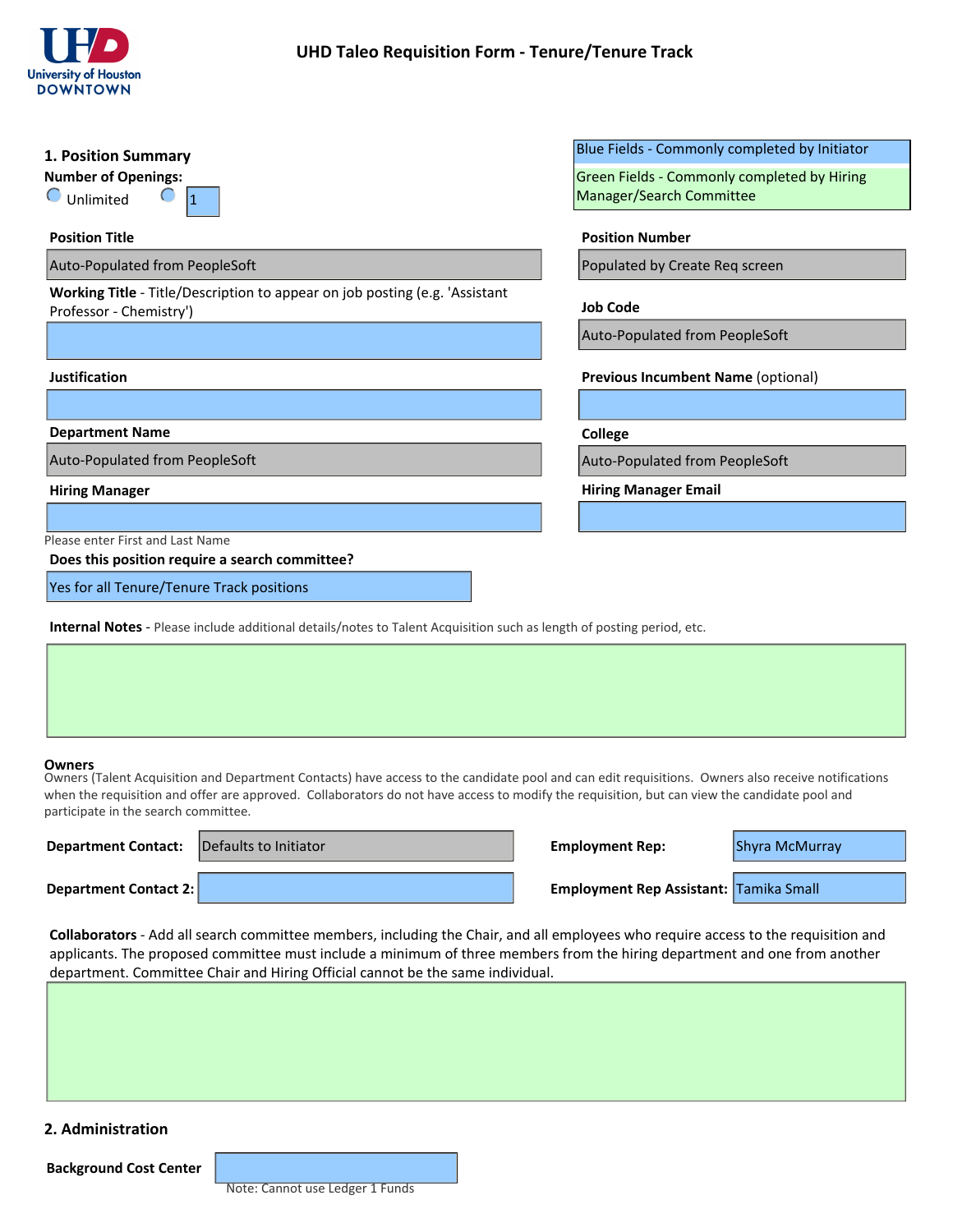

| 1. Position Summary                                                                                                                                                                                   | Blue Fields - Commonly completed by Initiator                                                                                                      |
|-------------------------------------------------------------------------------------------------------------------------------------------------------------------------------------------------------|----------------------------------------------------------------------------------------------------------------------------------------------------|
| <b>Number of Openings:</b>                                                                                                                                                                            | Green Fields - Commonly completed by Hiring                                                                                                        |
| $\bigcirc$ Unlimited<br>11                                                                                                                                                                            | Manager/Search Committee                                                                                                                           |
| <b>Position Title</b>                                                                                                                                                                                 | <b>Position Number</b>                                                                                                                             |
| Auto-Populated from PeopleSoft                                                                                                                                                                        | Populated by Create Req screen                                                                                                                     |
| Working Title - Title/Description to appear on job posting (e.g. 'Assistant<br>Professor - Chemistry')                                                                                                | <b>Job Code</b>                                                                                                                                    |
|                                                                                                                                                                                                       | Auto-Populated from PeopleSoft                                                                                                                     |
| Justification                                                                                                                                                                                         | Previous Incumbent Name (optional)                                                                                                                 |
|                                                                                                                                                                                                       | $\left  \mathbf{v} \right $                                                                                                                        |
| <b>Department Name</b>                                                                                                                                                                                | College                                                                                                                                            |
| Auto-Populated from PeopleSoft                                                                                                                                                                        | Auto-Populated from PeopleSoft                                                                                                                     |
| <b>Hiring Manager</b>                                                                                                                                                                                 | <b>Hiring Manager Email</b>                                                                                                                        |
|                                                                                                                                                                                                       |                                                                                                                                                    |
| Please enter First and Last Name<br>Does this position require a search committee?                                                                                                                    |                                                                                                                                                    |
| Yes for all Tenure/Tenure Track positions                                                                                                                                                             |                                                                                                                                                    |
| <b>Internal Notes</b> - Please include additional details/notes to Talent Acquisition such as length of posting period, etc.                                                                          |                                                                                                                                                    |
|                                                                                                                                                                                                       |                                                                                                                                                    |
|                                                                                                                                                                                                       |                                                                                                                                                    |
|                                                                                                                                                                                                       |                                                                                                                                                    |
|                                                                                                                                                                                                       |                                                                                                                                                    |
| <b>Owners</b><br>when the requisition and offer are approved. Collaborators do not have access to modify the requisition, but can view the candidate pool and<br>participate in the search committee. | Owners (Talent Acquisition and Department Contacts) have access to the candidate pool and can edit requisitions. Owners also receive notifications |
| Defaults to Initiator<br><b>Department Contact:</b>                                                                                                                                                   | Shyra McMurray<br><b>Employment Rep:</b>                                                                                                           |
| <b>Department Contact 2:</b>                                                                                                                                                                          | Employment Rep Assistant: Tamika Small                                                                                                             |

### **Owners**

| <b>Department Contact: Defaults to Initiator</b> | <b>Employment Rep:</b>                        | Shyra McMurray |
|--------------------------------------------------|-----------------------------------------------|----------------|
| <b>Department Contact 2:</b>                     | <b>Employment Rep Assistant: Tamika Small</b> |                |

**Collaborators** - Add all search committee members, including the Chair, and all employees who require access to the requisition and applicants. The proposed committee must include a minimum of three members from the hiring department and one from another department. Committee Chair and Hiring Official cannot be the same individual.

# **2. Administration**

**Background Cost Center**

Note: Cannot use Ledger 1 Funds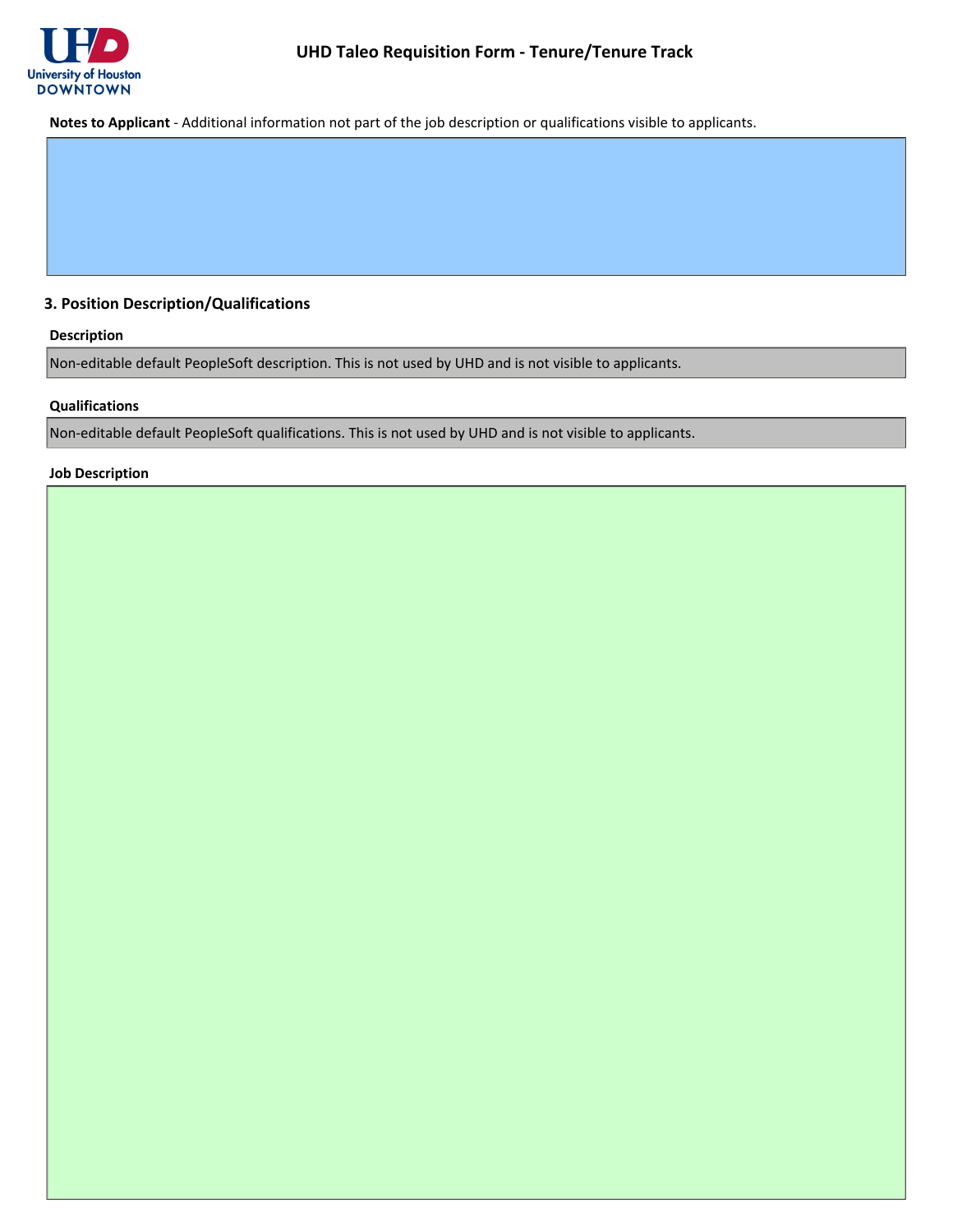

**Notes to Applicant** - Additional information not part of the job description or qualifications visible to applicants.

# **3. Position Description/Qualifications**

# **Description**

Non-editable default PeopleSoft description. This is not used by UHD and is not visible to applicants.

### **Qualifications**

Non-editable default PeopleSoft qualifications. This is not used by UHD and is not visible to applicants.

### **Job Description**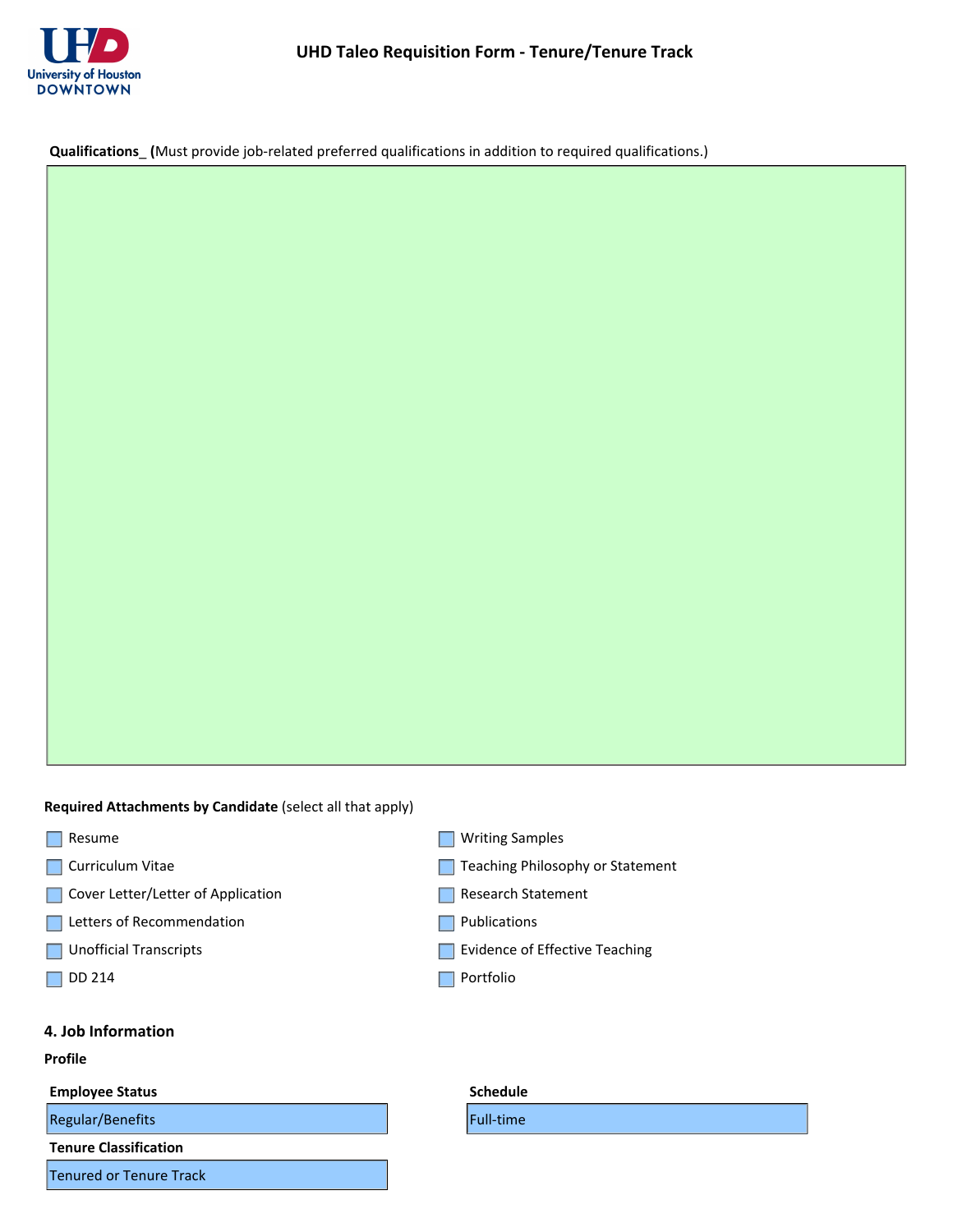

**Qualifications**\_ **(**Must provide job-related preferred qualifications in addition to required qualifications.)

**Required Attachments by Candidate** (select all that apply)

- Resume
- **Curriculum Vitae**
- Cover Letter/Letter of Application
- Letters of Recommendation
- **Unofficial Transcripts**
- $\Box$  DD 214

# **4. Job Information**

#### **Profile**

### **Employee Status**

 $Regular/Benefits$ 

**Tenure Classification**

Tenured or Tenure Track

- **Writing Samples**
- Teaching Philosophy or Statement
- Research Statement
- **Publications**
- Evidence of Effective Teaching
- **Portfolio**

| <b>Schedule</b>  |
|------------------|
| <b>Full-time</b> |